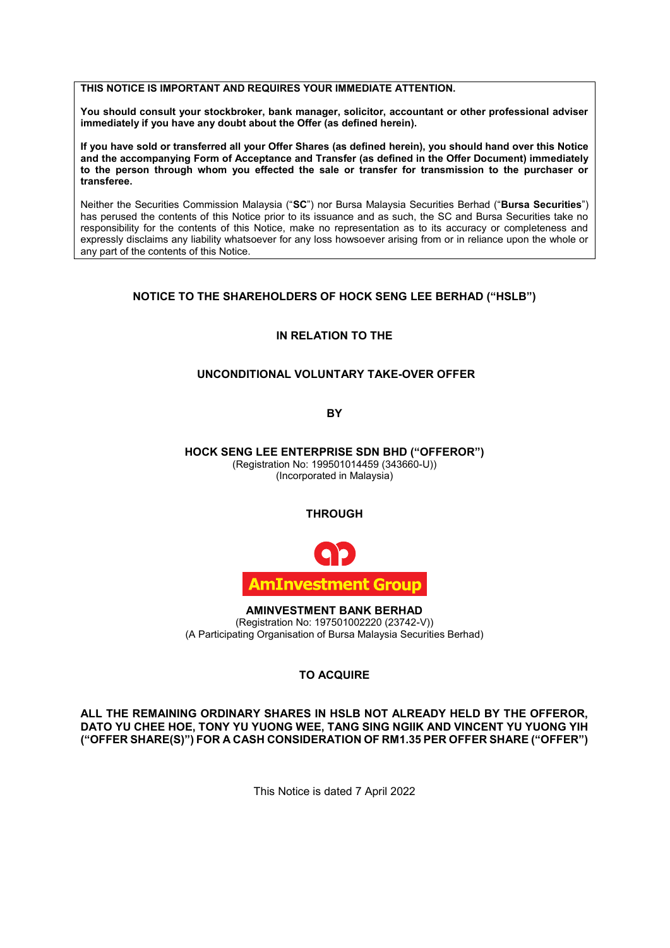#### **THIS NOTICE IS IMPORTANT AND REQUIRES YOUR IMMEDIATE ATTENTION. THIS NOTICE IS IMPORTANT AND REQUIRES YOUR IMMEDIATE ATTENTION. THIS NOTICE IS IMPORTANT AND REQUIRES YOUR IMMEDIATE ATTENTION.**

**You should consult your stockbroker, bank manager, solicitor, accountant or other professional adviser is a should consult your stockbroker, bank manager, solicitor, accountant or other professional adviser immediately if you have any doubt about the Offer (as defined herein). immediately if you have any doubt about the Offer (as defined herein).** immediately if you have any doubt about the Offer (as defined herein). **immediately if you have any doubt about the Offer (as defined herein).**

**If you have sold or transferred all your Offer Shares (as defined herein), you should hand over this Notice**  and the accompanying Form of Acceptance and Transfer (as defined in the Offer Document) immediately and the accompanying Form of Acceptance and Transfer (as defined in the Offer Document) immediately to the person through whom you effected the sale or transfer for transmission to the purchaser or **transferee. to the person through whom you effected the sale or transfer for transmission to the purchaser or transferee.** to the person through whom you effected the sale or transfer for transmission to the purchaser or **transferee.** The sale of the sale of the sale of the sale of the sale of the purchaser or  $\mathbf{r}$  the purchaser of the purchaser or  $\mathbf{r}$ 

Neither the Securities Commission Malaysia ("**SC**") nor Bursa Malaysia Securities Berhad ("**Bursa Securities**") has perused the contents of this Notice prior to its issuance and as such, the SC and Bursa Securities take no responsibility for the contents of this Notice, make no representation as to its accuracy or completeness and responsibility for the contents of this Notice, make no representation as to its accuracy or completeness and<br>expressly disclaims any liability whatsoever for any loss howsoever arising from or in reliance upon the whole o any part of the contents of this Notice. any part of the contents of this Notice. expressly disclaims any liability whatsoever for any loss howsoever arising from or in reliance upon the whole or expressly disclaims any liability whatsoever for any loss howsoever arising from or in reliance upon the whole or any part of the contents of this Notice  $\overline{a}$  any loss how in reliance upon the whole or in reliance upon the whole or in reliance upon the whole or in reliance upon the whole or in reliance upon the whole or in relian  $\overline{\phantom{a}}$ 

## **NOTICE TO THE SHAREHOLDERS OF HOCK SENG LEE BERHAD ("HSLB") NOTICE TO THE SHAREHOLDERS OF HOCK SENG LEE BERHAD ("HSLB") NOTICE TO THE SHAREHOLDERS OF HOCK SENG LEE BERHAD ("HSLB")**

## **IN RELATION TO THE IN RELATION TO THE IN RELATION TO THE**

## **UNCONDITIONAL VOLUNTARY TAKE-OVER OFFER UNCONDITIONAL VOLUNTARY TAKE-OVER OFFER UNCONDITIONAL VOLUNTARY TAKE-OVER OFFER**

**BY BY**

**HOCK SENG LEE ENTERPRISE SDN BHD ("OFFEROR")** (Registration No: 199501014459 (343660-U)) **HOCK SENG LEE ENTERPRISE SDN BHD ("OFFEROR") HOCK SENG LEE ENTERPRISE SDN BHD ("OFFEROR")** (Incorporated in Malaysia)<br>(Incorporated in Malaysia) (Incorporated in Malaysia)  $\sim$  (Incorporated in Malaysia)  $\left($   $\frac{1}{2}$   $\frac{1}{2}$   $\frac{1}{2}$   $\frac{1}{2}$   $\frac{1}{2}$   $\frac{1}{2}$   $\frac{1}{2}$   $\frac{1}{2}$   $\frac{1}{2}$   $\frac{1}{2}$   $\frac{1}{2}$   $\frac{1}{2}$   $\frac{1}{2}$   $\frac{1}{2}$   $\frac{1}{2}$   $\frac{1}{2}$   $\frac{1}{2}$   $\frac{1}{2}$   $\frac{1}{2}$   $\frac{1}{2}$   $\frac{1}{2}$   $\frac{1$ 

#### **THROUGH THROUGH** THROUGH<sub>L</sub>



**AMINVESTMENT BANK BERHAD AMINVESTMENT BANK BERHAD AMINVESTMENT BANK BERHAD** (Registration No: 197501002220 (23742-V)) (Registration No: 197501002220 (23742-V)) (Registration No: 197501002220 (23742-V)) (A Participating Organisation of Bursa Malaysia Securities Berhad) (A Participating Organisation of Bursa Malaysia Securities Berhad) (A Participating Organisation of Bursa Malaysia Securities Berhad)

# **TO ACQUIRE TO ACQUIRE TO ACQUIRE**

ALL THE REMAINING ORDINARY SHARES IN HSLB NOT ALREADY HELD BY THE OFFEROR, **DATO YU CHEE HOE, TONY YU YUONG WEE, TANG SING NGIIK AND VINCENT YU YUONG YIH**  DATO YU CHEE HOE, TONY YU YUONG WEE, TANG SING NGIIK AND VINCENT YU YUONG YIH<br>"CEEER SUARE(S)") FOR A QASU QONGIRERATION OF RM4 35 RER OFFER SUARE ("OFFERI") **("OFFER SHARE(S)") FOR A CASH CONSIDERATION OF RM1.35 PER OFFER SHARE ("OFFER") ("OFFER SHARE(S)") FOR A CASH CONSIDERATION OF RM1.35 PER OFFER SHARE ("OFFER")**

This Notice is dated 7 April 2022 This Notice is dated 7 April 2022 This Notice is dated 7 April 2022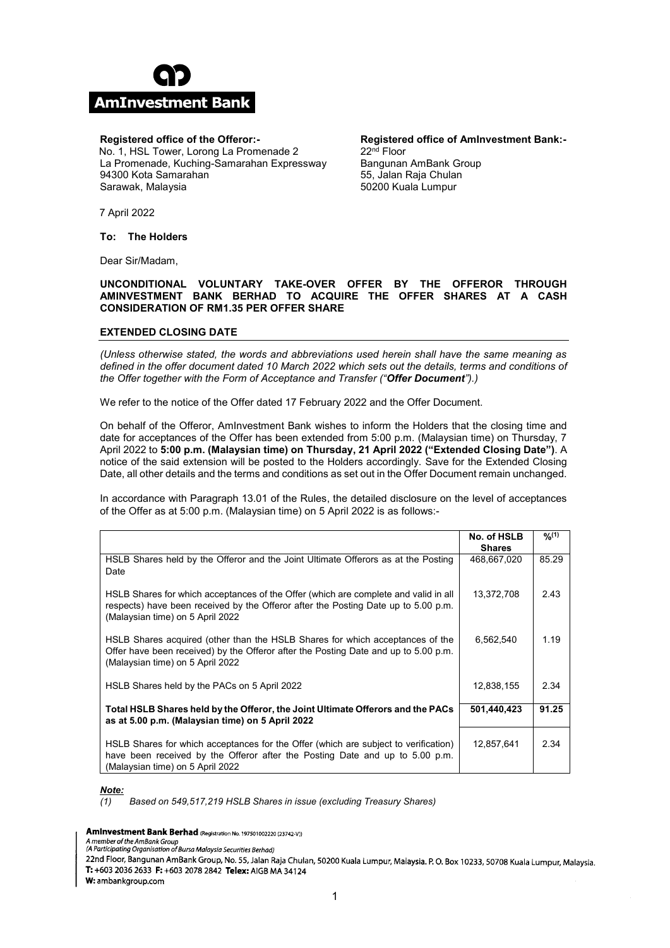

## **Registered office of the Offeror:- Registered office of the Offeror:-**

No. 1, HSL Tower, Lorong La Promenade 2 No. 1, HSL Tower, Lorong La Promenade 2 La Promenade, Kuching-Samarahan Expressway La Promenade, Kuching-Samarahan Expressway 94300 Kota Samarahan 94300 Kota Samarahan Sarawak, Malaysia Sarawak, Malaysia

**Registered office of AmInvestment Bank:- Registered office of AmInvestment Bank:-** 22nd Floor 22nd Floor Bangunan AmBank Group Bangunan AmBank Group 55, Jalan Raja Chulan 55, Jalan Raja Chulan 50200 Kuala Lumpur 50200 Kuala Lumpur

7 April 2022 7 April 2022

**To: The Holders To: The Holders**

Dear Sir/Madam, Dear Sir/Madam,

# **UNCONDITIONAL VOLUNTARY TAKE-OVER OFFER BY THE OFFEROR THROUGH UNCONDITIONAL VOLUNTARY TAKE-OVER OFFER BY THE OFFEROR THROUGH AMINVESTMENT BANK BERHAD TO ACQUIRE THE OFFER SHARES AT A CASH AMINVESTMENT BANK BERHAD TO ACQUIRE THE OFFER SHARES AT A CASH CONSIDERATION OF RM1.35 PER OFFER SHARE CONSIDERATION OF RM1.35 PER OFFER SHARE**

# **EXTENDED CLOSING DATE EXTENDED CLOSING DATE**

*(Unless otherwise stated, the words and abbreviations used herein shall have the same meaning as (Unless otherwise stated, the words and abbreviations used herein shall have the same meaning as*  defined in the offer document dated 10 March 2022 which sets out the details, terms and conditions of *the Offer together with the Form of Acceptance and Transfer ("Offer Document").) the Offer together with the Form of Acceptance and Transfer ("Offer Document").)*

We refer to the notice of the Offer dated 17 February 2022 and the Offer Document. We refer to the notice of the Offer dated 17 February 2022 and the Offer Document.

On behalf of the Offeror, AmInvestment Bank wishes to inform the Holders that the closing time and On behalf of the Offeror, AmInvestment Bank wishes to inform the Holders that the closing time and date for acceptances of the Offer has been extended from 5:00 p.m. (Malaysian time) on Thursday, 7 date for acceptances of the Offer has been extended from 5:00 p.m. (Malaysian time) on Thursday, 7 April 2022 to 5:00 p.m. (Malaysian time) on Thursday, 21 April 2022 ("Extended Closing Date"). A notice of the said extension will be posted to the Holders accordingly. Save for the Extended Closing notice of the said extension will be posted to the Holders accordingly. Save for the Extended Closing Date, all other details and the terms and conditions as set out in the Offer Document remain unchanged. Date, all other details and the terms and conditions as set out in the Offer Document remain unchanged.

In accordance with Paragraph 13.01 of the Rules, the detailed disclosure on the level of acceptances In accordance with Paragraph 13.01 of the Rules, the detailed disclosure on the level of acceptances of the Offer as at 5:00 p.m. (Malaysian time) on 5 April 2022 is as follows:- of the Offer as at 5:00 p.m. (Malaysian time) on 5 April 2022 is as follows:-

|                                                                                                                                                                                                               | No. of HSLB<br><b>Shares</b> | 9/2(1) |
|---------------------------------------------------------------------------------------------------------------------------------------------------------------------------------------------------------------|------------------------------|--------|
|                                                                                                                                                                                                               |                              |        |
| HSLB Shares held by the Offeror and the Joint Ultimate Offerors as at the Posting<br>Date                                                                                                                     | 468,667,020                  | 85.29  |
| HSLB Shares for which acceptances of the Offer (which are complete and valid in all<br>respects) have been received by the Offeror after the Posting Date up to 5.00 p.m.<br>(Malaysian time) on 5 April 2022 | 13,372,708                   | 2.43   |
| HSLB Shares acquired (other than the HSLB Shares for which acceptances of the<br>Offer have been received) by the Offeror after the Posting Date and up to 5.00 p.m.<br>(Malaysian time) on 5 April 2022      | 6,562,540                    | 1.19   |
| HSLB Shares held by the PACs on 5 April 2022                                                                                                                                                                  | 12,838,155                   | 2.34   |
| Total HSLB Shares held by the Offeror, the Joint Ultimate Offerors and the PACs<br>as at 5.00 p.m. (Malaysian time) on 5 April 2022                                                                           | 501,440,423                  | 91.25  |
| HSLB Shares for which acceptances for the Offer (which are subject to verification)<br>have been received by the Offeror after the Posting Date and up to 5.00 p.m.<br>(Malaysian time) on 5 April 2022       | 12,857,641                   | 2.34   |

*Note: Note:* 

*(1) Based on 549,517,219 HSLB Shares in issue (excluding Treasury Shares) (1) Based on 549,517,219 HSLB Shares in issue (excluding Treasury Shares)*

Aminvestment Bank Berhad (Registration No. 197501002220 (23742-V))

Amento of the AmBank Group<br>Amento of the AmBank Group<br>(A Participating Organisation of Bursa Malaysia Securities Berhad)

22nd Floor, Bangunan AmBank Group, No. 55, Jalan Raja Chulan, 50200 Kuala Lumpur, Malaysia. P. O. Box 10233, 50708 Kuala Lumpur, Malaysia. T: +603 2036 2633 F: +603 2078 2842 Telex: AIGB MA 34124

W: ambankgroup.com